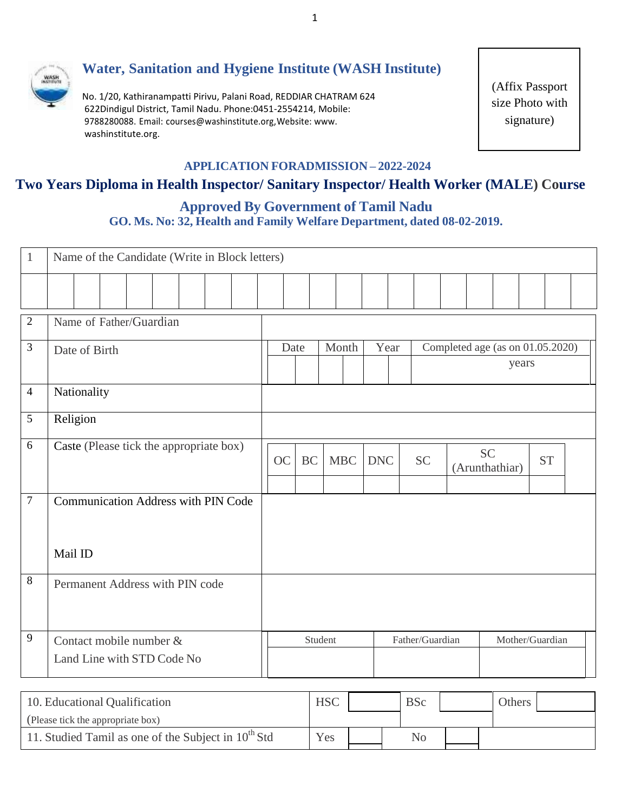

# **Water, Sanitation and Hygiene Institute (WASH Institute)**

No. 1/20, Kathiranampatti Pirivu, Palani Road, REDDIAR CHATRAM 624 622Dindigul District, Tamil Nadu. Phone:0451-2554214, Mobile: 9788280088. Email: [courses@washinstitute.org,W](mailto:courses@washinstitute.org)ebsite[: www.](http://www/) washinstitute.org.

(Affix Passport size Photo with [signature\)](http://www/)

### **APPLICATION FORADMISSION – 2022-2024**

# **Two Years Diploma in Health Inspector/ Sanitary Inspector/ Health Worker (MALE) Course**

## **Approved By Government of Tamil Nadu GO. Ms. No: 32, Health and Family Welfare Department, dated 08-02-2019.**

| $\mathbf{1}$   | Name of the Candidate (Write in Block letters)        |      |           |            |            |                 |                                           |           |                 |           |  |
|----------------|-------------------------------------------------------|------|-----------|------------|------------|-----------------|-------------------------------------------|-----------|-----------------|-----------|--|
|                |                                                       |      |           |            |            |                 |                                           |           |                 |           |  |
| $\overline{2}$ | Name of Father/Guardian                               |      |           |            |            |                 |                                           |           |                 |           |  |
| $\mathfrak{Z}$ | Date of Birth                                         | Date |           | Month      | Year       |                 | Completed age (as on 01.05.2020)<br>years |           |                 |           |  |
| $\overline{4}$ | Nationality                                           |      |           |            |            |                 |                                           |           |                 |           |  |
| $\mathfrak{S}$ | Religion                                              |      |           |            |            |                 |                                           |           |                 |           |  |
| 6              | Caste (Please tick the appropriate box)               | OC   | <b>BC</b> | <b>MBC</b> | <b>DNC</b> | <b>SC</b>       | (Arunthathiar)                            | <b>SC</b> |                 | <b>ST</b> |  |
| $\tau$         | <b>Communication Address with PIN Code</b>            |      |           |            |            |                 |                                           |           |                 |           |  |
|                | Mail ID                                               |      |           |            |            |                 |                                           |           |                 |           |  |
| $\,8\,$        | Permanent Address with PIN code                       |      |           |            |            |                 |                                           |           |                 |           |  |
| 9              | Contact mobile number &<br>Land Line with STD Code No |      | Student   |            |            | Father/Guardian |                                           |           | Mother/Guardian |           |  |

| 10. Educational Qualification                            | <b>HSC</b> | <b>BSc</b> | <b>Others</b> |  |
|----------------------------------------------------------|------------|------------|---------------|--|
| (Please tick the appropriate box)                        |            |            |               |  |
| 11. Studied Tamil as one of the Subject in $10^{th}$ Std | Yes        | No         |               |  |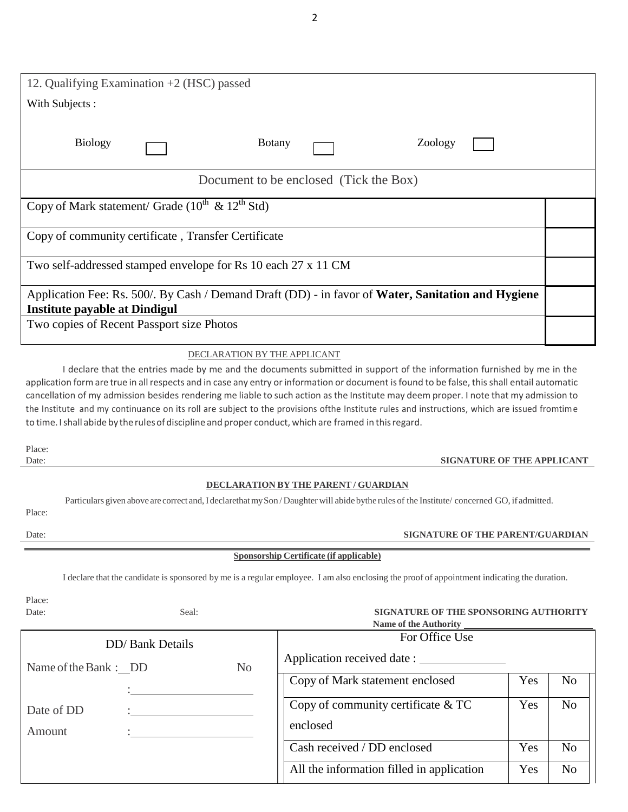| 12. Qualifying Examination $+2$ (HSC) passed                    |                              |               |                                        |                                                                                                    |  |
|-----------------------------------------------------------------|------------------------------|---------------|----------------------------------------|----------------------------------------------------------------------------------------------------|--|
| With Subjects:                                                  |                              |               |                                        |                                                                                                    |  |
| <b>Biology</b>                                                  |                              | <b>Botany</b> |                                        | Zoology                                                                                            |  |
|                                                                 |                              |               | Document to be enclosed (Tick the Box) |                                                                                                    |  |
| Copy of Mark statement/ Grade $(10^{th} \& 12^{th} \text{Std})$ |                              |               |                                        |                                                                                                    |  |
| Copy of community certificate, Transfer Certificate             |                              |               |                                        |                                                                                                    |  |
| Two self-addressed stamped envelope for Rs 10 each 27 x 11 CM   |                              |               |                                        |                                                                                                    |  |
| <b>Institute payable at Dindigul</b>                            |                              |               |                                        | Application Fee: Rs. 500/. By Cash / Demand Draft (DD) - in favor of Water, Sanitation and Hygiene |  |
| Two copies of Recent Passport size Photos                       |                              |               |                                        |                                                                                                    |  |
|                                                                 | DECLARATION BY THE APPLICANT |               |                                        |                                                                                                    |  |

### I declare that the entries made by me and the documents submitted in support of the information furnished by me in the application form are true in all respects and in case any entry or information or document is found to be false, this shall entail automatic cancellation of my admission besides rendering me liable to such action asthe Institute may deem proper. I note that my admission to the Institute and my continuance on its roll are subject to the provisions ofthe Institute rules and instructions, which are issued fromtime to time. I shall abide by the rules of discipline and proper conduct, which are framed in this regard.

Place:

#### Date: **SIGNATURE OF THE APPLICANT**

#### **DECLARATION BY THE PARENT / GUARDIAN**

Particulars given above are correct and, I declarethat my Son / Daughter will abide bythe rules of the Institute/ concerned GO, if admitted.

Place:

#### Date: **SIGNATURE OF THE PARENT/GUARDIAN**

#### **Sponsorship Certificate (if applicable)**

I declare that the candidate is sponsored by me is a regular employee. I am also enclosing the proof of appointment indicating the duration.

Place:

#### Date: Seal: **SIGNATURE OF THE SPONSORING AUTHORITY Name of the Authority**

| <b>EVALUE OF the AUGHOLITY</b>                   |  |                |                                           |     |                |  |
|--------------------------------------------------|--|----------------|-------------------------------------------|-----|----------------|--|
| <b>DD</b> / Bank Details<br>Name of the Bank: DD |  | For Office Use |                                           |     |                |  |
|                                                  |  | N <sub>o</sub> | Application received date :               |     |                |  |
|                                                  |  |                | Copy of Mark statement enclosed           | Yes | No             |  |
| Date of DD                                       |  |                | Copy of community certificate & TC        | Yes | N <sub>o</sub> |  |
| Amount                                           |  |                | enclosed                                  |     |                |  |
|                                                  |  |                | Cash received / DD enclosed               | Yes | N <sub>o</sub> |  |
|                                                  |  |                | All the information filled in application | Yes | No             |  |

2